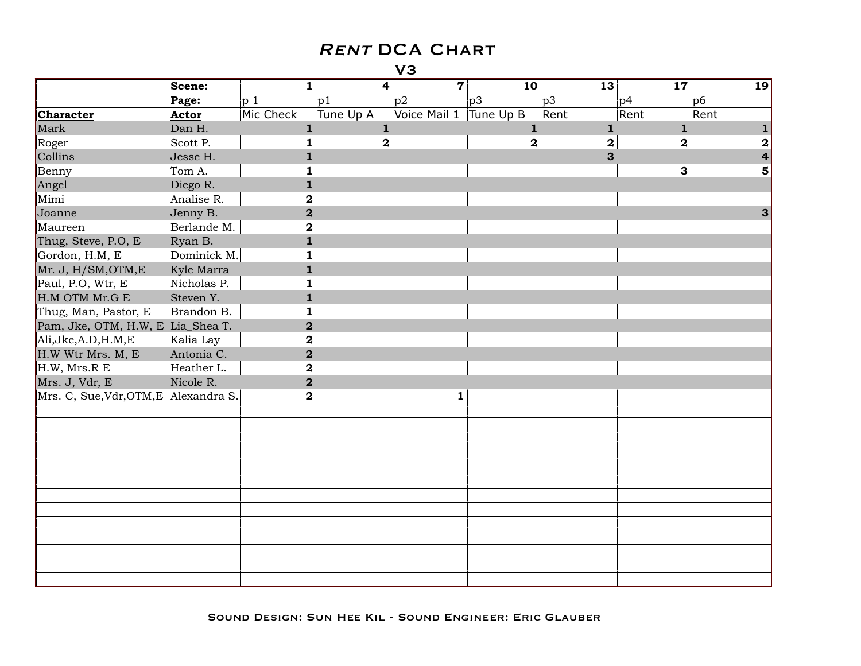|                                   | Scene:       | $\mathbf{1}$            | $\overline{4}$          | $\overline{7}$ | 10 <sup>1</sup> | 13           | 17                      | 19   |
|-----------------------------------|--------------|-------------------------|-------------------------|----------------|-----------------|--------------|-------------------------|------|
|                                   | Page:        | p 1                     | p1                      | p2             | p3              | p3           | p4                      | p6   |
| Character                         | Actor        | Mic Check               | Tune Up A               | Voice Mail 1   | Tune Up B       | Rent         | Rent                    | Rent |
| Mark                              | Dan H.       | $\mathbf{1}$            | $\mathbf 1$             |                | $\mathbf{1}$    | $\mathbf{1}$ | $\mathbf{1}$            |      |
| Roger                             | Scott P.     | 1                       | $\overline{\mathbf{2}}$ |                | $\mathbf{2}$    | $\mathbf{2}$ | $\overline{\mathbf{2}}$ | 2    |
| Collins                           | Jesse H.     | $\mathbf{1}$            |                         |                |                 | $\mathbf{3}$ |                         | 4    |
| Benny                             | Tom A.       | 1                       |                         |                |                 |              | $\mathbf{3}$            | 5    |
| Angel                             | Diego R.     | $\mathbf{1}$            |                         |                |                 |              |                         |      |
| Mimi                              | Analise R.   | $\mathbf 2$             |                         |                |                 |              |                         |      |
| Joanne                            | Jenny B.     | $\overline{\mathbf{2}}$ |                         |                |                 |              |                         | 3    |
| Maureen                           | Berlande M.  | 2                       |                         |                |                 |              |                         |      |
| Thug, Steve, P.O, E               | Ryan B.      | $\mathbf{1}$            |                         |                |                 |              |                         |      |
| Gordon, H.M, E                    | Dominick M.  | 1                       |                         |                |                 |              |                         |      |
| Mr. J, H/SM, OTM, E               | Kyle Marra   | 1                       |                         |                |                 |              |                         |      |
| Paul, P.O, Wtr, E                 | Nicholas P.  | $\mathbf{1}$            |                         |                |                 |              |                         |      |
| H.M OTM Mr.G E                    | Steven Y.    | $\mathbf{1}$            |                         |                |                 |              |                         |      |
| Thug, Man, Pastor, E              | Brandon B.   | $\mathbf{1}$            |                         |                |                 |              |                         |      |
| Pam, Jke, OTM, H.W, E Lia_Shea T. |              | $\mathbf 2$             |                         |                |                 |              |                         |      |
| Ali, Jke, A.D, H.M, E             | Kalia Lay    | $\mathbf 2$             |                         |                |                 |              |                         |      |
| H.W Wtr Mrs. M, E                 | Antonia C.   | $\overline{\mathbf{2}}$ |                         |                |                 |              |                         |      |
| H.W, Mrs.R E                      | Heather L.   | $\mathbf 2$             |                         |                |                 |              |                         |      |
| Mrs. J, Vdr, E                    | Nicole R.    | $\overline{\mathbf{2}}$ |                         |                |                 |              |                         |      |
| Mrs. C, Sue, Vdr, OTM, E          | Alexandra S. | $\mathbf 2$             |                         | $\mathbf{1}$   |                 |              |                         |      |
|                                   |              |                         |                         |                |                 |              |                         |      |
|                                   |              |                         |                         |                |                 |              |                         |      |
|                                   |              |                         |                         |                |                 |              |                         |      |
|                                   |              |                         |                         |                |                 |              |                         |      |
|                                   |              |                         |                         |                |                 |              |                         |      |
|                                   |              |                         |                         |                |                 |              |                         |      |
|                                   |              |                         |                         |                |                 |              |                         |      |
|                                   |              |                         |                         |                |                 |              |                         |      |
|                                   |              |                         |                         |                |                 |              |                         |      |
|                                   |              |                         |                         |                |                 |              |                         |      |
|                                   |              |                         |                         |                |                 |              |                         |      |
|                                   |              |                         |                         |                |                 |              |                         |      |
|                                   |              |                         |                         |                |                 |              |                         |      |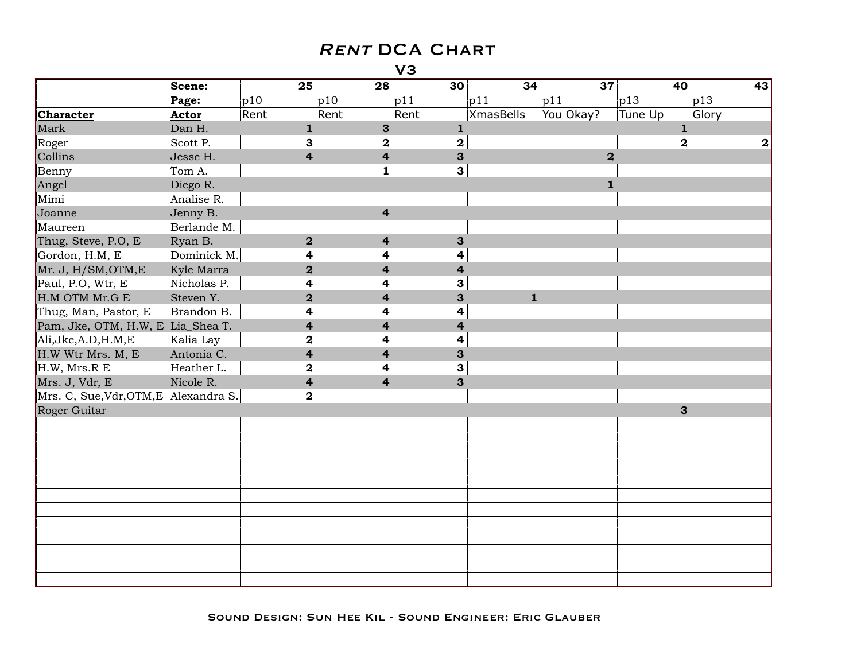|                                       | Scene:      | 25                      | 28                      | 30             | 34               | 37                      | 40                      | 43          |
|---------------------------------------|-------------|-------------------------|-------------------------|----------------|------------------|-------------------------|-------------------------|-------------|
|                                       | Page:       | p10                     | p10                     | p11            | p11              | p11                     | p13                     | p13         |
| Character                             | Actor       | Rent                    | Rent                    | Rent           | <b>XmasBells</b> | You Okay?               | Tune Up                 | Glory       |
| Mark                                  | Dan H.      | $\mathbf{1}$            | $\mathbf{3}$            | $\mathbf{1}$   |                  |                         | $\mathbf{1}$            |             |
| Roger                                 | Scott P.    | 3                       | $\overline{\mathbf{2}}$ | $\mathbf 2$    |                  |                         | $\overline{\mathbf{2}}$ | $\mathbf 2$ |
| Collins                               | Jesse H.    | $\overline{\mathbf{4}}$ | $\overline{\mathbf{r}}$ | 3              |                  | $\overline{\mathbf{2}}$ |                         |             |
| Benny                                 | Tom A.      |                         | $\mathbf{1}$            | 3              |                  |                         |                         |             |
| Angel                                 | Diego R.    |                         |                         |                |                  | $\mathbf 1$             |                         |             |
| Mimi                                  | Analise R.  |                         |                         |                |                  |                         |                         |             |
| Joanne                                | Jenny B.    |                         | 4                       |                |                  |                         |                         |             |
| Maureen                               | Berlande M. |                         |                         |                |                  |                         |                         |             |
| Thug, Steve, P.O, E                   | Ryan B.     | $\overline{2}$          | 4                       | 3              |                  |                         |                         |             |
| Gordon, H.M, E                        | Dominick M. | 4                       | 4                       | 4              |                  |                         |                         |             |
| Mr. J, H/SM, OTM, E                   | Kyle Marra  | $\overline{\mathbf{2}}$ | 4                       | 4              |                  |                         |                         |             |
| Paul, P.O, Wtr, E                     | Nicholas P. | 4                       | 4                       | 3              |                  |                         |                         |             |
| H.M OTM Mr.G E                        | Steven Y.   | $\mathbf{2}$            | $\overline{\mathbf{4}}$ | 3              | $\mathbf{1}$     |                         |                         |             |
| Thug, Man, Pastor, E                  | Brandon B.  | 4                       | 4                       | 4              |                  |                         |                         |             |
| Pam, Jke, OTM, H.W, E Lia_Shea T.     |             | $\overline{4}$          | $\overline{4}$          | $\overline{4}$ |                  |                         |                         |             |
| Ali, Jke, A.D, H.M, E                 | Kalia Lay   | $\mathbf 2$             | 4                       | 4              |                  |                         |                         |             |
| H.W Wtr Mrs. M, E                     | Antonia C.  | $\overline{4}$          | $\overline{\mathbf{4}}$ | 3              |                  |                         |                         |             |
| H.W, Mrs.R E                          | Heather L.  | ${\bf 2}$               | 4                       | $\mathbf{3}$   |                  |                         |                         |             |
| Mrs. J, Vdr, E                        | Nicole R.   | $\overline{\mathbf{4}}$ | $\overline{\mathbf{4}}$ | 3              |                  |                         |                         |             |
| Mrs. C, Sue, Vdr, OTM, E Alexandra S. |             | $\mathbf{2}$            |                         |                |                  |                         |                         |             |
| Roger Guitar                          |             |                         |                         |                |                  |                         | 3                       |             |
|                                       |             |                         |                         |                |                  |                         |                         |             |
|                                       |             |                         |                         |                |                  |                         |                         |             |
|                                       |             |                         |                         |                |                  |                         |                         |             |
|                                       |             |                         |                         |                |                  |                         |                         |             |
|                                       |             |                         |                         |                |                  |                         |                         |             |
|                                       |             |                         |                         |                |                  |                         |                         |             |
|                                       |             |                         |                         |                |                  |                         |                         |             |
|                                       |             |                         |                         |                |                  |                         |                         |             |
|                                       |             |                         |                         |                |                  |                         |                         |             |
|                                       |             |                         |                         |                |                  |                         |                         |             |
|                                       |             |                         |                         |                |                  |                         |                         |             |
|                                       |             |                         |                         |                |                  |                         |                         |             |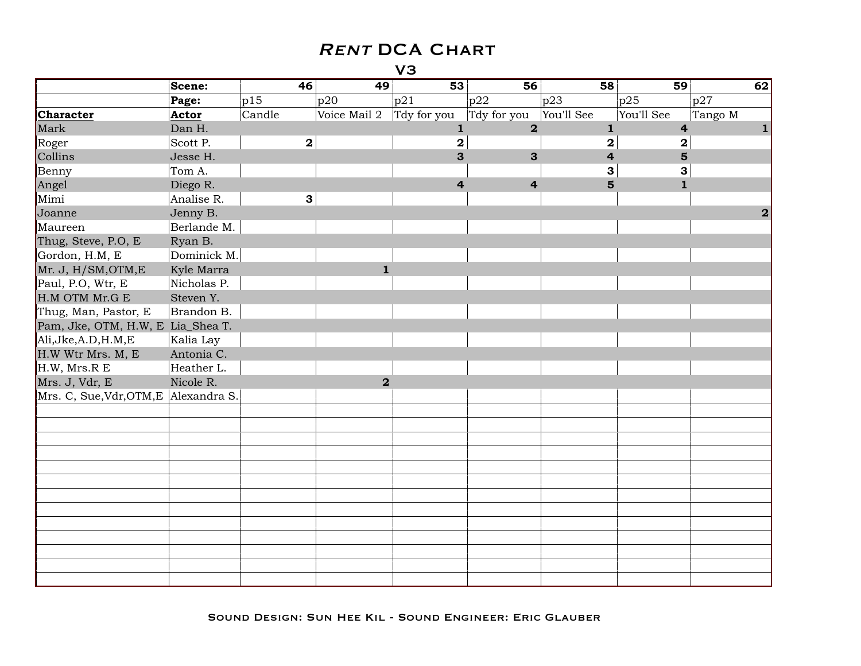|                                   | Scene:       | 46           | 49             | 53                      | 56                      | 58                      | 59                      | 62               |
|-----------------------------------|--------------|--------------|----------------|-------------------------|-------------------------|-------------------------|-------------------------|------------------|
|                                   | Page:        | p15          | p20            | p21                     | p22                     | p23                     | p25                     | p27              |
| <b>Character</b>                  | Actor        | Candle       | Voice Mail 2   | Tdy for you             | Tdy for you             | You'll See              | You'll See              | Tango M          |
| Mark                              | Dan H.       |              |                | $\mathbf{1}$            | $\overline{\mathbf{2}}$ | $\mathbf{1}$            | $\overline{\mathbf{4}}$ |                  |
| Roger                             | Scott P.     | $\mathbf{2}$ |                | $\mathbf 2$             |                         | $\overline{\mathbf{2}}$ | $\mathbf 2$             |                  |
| Collins                           | Jesse H.     |              |                | 3                       | 3                       | 4                       | 5                       |                  |
| Benny                             | Tom A.       |              |                |                         |                         | 3                       | 3                       |                  |
| Angel                             | Diego R.     |              |                | $\overline{\mathbf{4}}$ | $\overline{\mathbf{4}}$ | 5                       | $\mathbf{1}$            |                  |
| Mimi                              | Analise R.   | $\mathbf{3}$ |                |                         |                         |                         |                         |                  |
| Joanne                            | Jenny B.     |              |                |                         |                         |                         |                         | $\boldsymbol{2}$ |
| Maureen                           | Berlande M.  |              |                |                         |                         |                         |                         |                  |
| Thug, Steve, P.O, E               | Ryan B.      |              |                |                         |                         |                         |                         |                  |
| Gordon, H.M, E                    | Dominick M.  |              |                |                         |                         |                         |                         |                  |
| Mr. J, H/SM, OTM, E               | Kyle Marra   |              | $\mathbf{1}$   |                         |                         |                         |                         |                  |
| Paul, P.O, Wtr, E                 | Nicholas P.  |              |                |                         |                         |                         |                         |                  |
| H.M OTM Mr.G E                    | Steven Y.    |              |                |                         |                         |                         |                         |                  |
| Thug, Man, Pastor, E              | Brandon B.   |              |                |                         |                         |                         |                         |                  |
| Pam, Jke, OTM, H.W, E Lia_Shea T. |              |              |                |                         |                         |                         |                         |                  |
| Ali, Jke, A.D, H.M, E             | Kalia Lay    |              |                |                         |                         |                         |                         |                  |
| H.W Wtr Mrs. M, E                 | Antonia C.   |              |                |                         |                         |                         |                         |                  |
| H.W, Mrs.R E                      | Heather L.   |              |                |                         |                         |                         |                         |                  |
| Mrs. J, Vdr, E                    | Nicole R.    |              | $\overline{2}$ |                         |                         |                         |                         |                  |
| Mrs. C, Sue, Vdr, OTM, E          | Alexandra S. |              |                |                         |                         |                         |                         |                  |
|                                   |              |              |                |                         |                         |                         |                         |                  |
|                                   |              |              |                |                         |                         |                         |                         |                  |
|                                   |              |              |                |                         |                         |                         |                         |                  |
|                                   |              |              |                |                         |                         |                         |                         |                  |
|                                   |              |              |                |                         |                         |                         |                         |                  |
|                                   |              |              |                |                         |                         |                         |                         |                  |
|                                   |              |              |                |                         |                         |                         |                         |                  |
|                                   |              |              |                |                         |                         |                         |                         |                  |
|                                   |              |              |                |                         |                         |                         |                         |                  |
|                                   |              |              |                |                         |                         |                         |                         |                  |
|                                   |              |              |                |                         |                         |                         |                         |                  |
|                                   |              |              |                |                         |                         |                         |                         |                  |
|                                   |              |              |                |                         |                         |                         |                         |                  |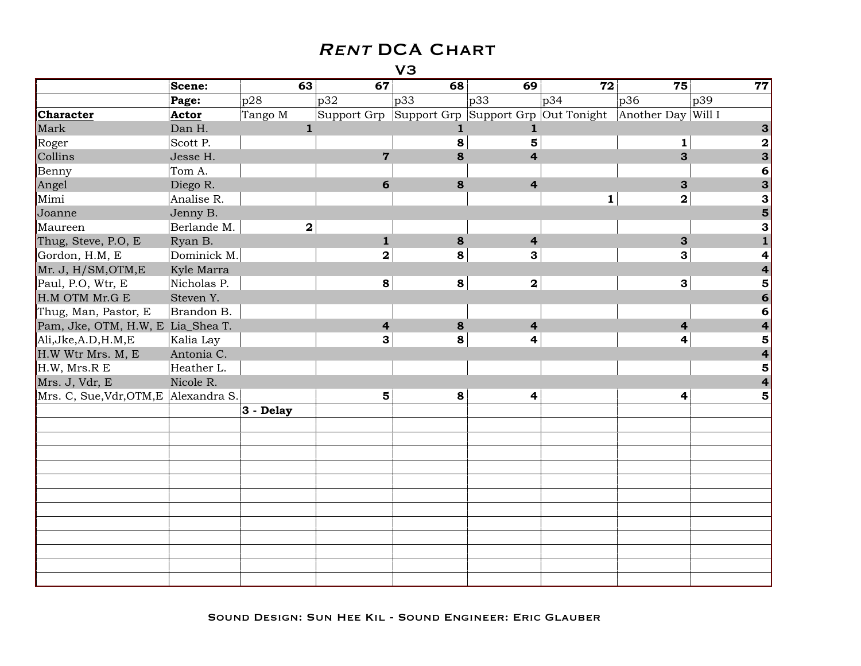|                                   | Scene:       | 63           | 67                                              | 68  | 69                      | 72           | 75                      | 77               |
|-----------------------------------|--------------|--------------|-------------------------------------------------|-----|-------------------------|--------------|-------------------------|------------------|
|                                   | Page:        | p28          | p32                                             | p33 | $ p33\rangle$           | p34          | p36                     | p39              |
| <b>Character</b>                  | Actor        | Tango M      | Support Grp Support Grp Support Grp Out Tonight |     |                         |              | Another Day Will I      |                  |
| Mark                              | Dan H.       | $\mathbf{1}$ |                                                 | 1   | 1                       |              |                         | 3                |
| Roger                             | Scott P.     |              |                                                 | 8   | 5                       |              | 1                       | $\boldsymbol{2}$ |
| Collins                           | Jesse H.     |              | $\overline{7}$                                  | 8   | 4                       |              | 3                       | 3                |
| Benny                             | Tom A.       |              |                                                 |     |                         |              |                         | 6                |
| Angel                             | Diego R.     |              | 6                                               | 8   | $\overline{\mathbf{4}}$ |              | 3                       | 3                |
| Mimi                              | Analise R.   |              |                                                 |     |                         | $\mathbf{1}$ | $\overline{\mathbf{2}}$ | 3                |
| Joanne                            | Jenny B.     |              |                                                 |     |                         |              |                         | 5                |
| Maureen                           | Berlande M.  | $\mathbf{2}$ |                                                 |     |                         |              |                         | 3                |
| Thug, Steve, P.O, E               | Ryan B.      |              | $\mathbf{1}$                                    | 8   | $\overline{\mathbf{r}}$ |              | $\mathbf{3}$            |                  |
| Gordon, H.M, E                    | Dominick M.  |              | $\mathbf{2}$                                    | 8   | 3                       |              | 3                       |                  |
| Mr. J, H/SM, OTM, E               | Kyle Marra   |              |                                                 |     |                         |              |                         |                  |
| Paul, P.O, Wtr, E                 | Nicholas P.  |              | 8                                               | 8   | $\mathbf 2$             |              | $\mathbf{3}$            | 5                |
| H.M OTM Mr.G E                    | Steven Y.    |              |                                                 |     |                         |              |                         | 6                |
| Thug, Man, Pastor, E              | Brandon B.   |              |                                                 |     |                         |              |                         | 6                |
| Pam, Jke, OTM, H.W, E Lia_Shea T. |              |              | $\overline{\mathbf{r}}$                         | 8   | $\overline{\mathbf{4}}$ |              | $\overline{\mathbf{r}}$ |                  |
| Ali, Jke, A.D, H.M, E             | Kalia Lay    |              | 3                                               | 8   | $\overline{\mathbf{4}}$ |              | 4                       | 5                |
| H.W Wtr Mrs. M, E                 | Antonia C.   |              |                                                 |     |                         |              |                         |                  |
| H.W, Mrs.R E                      | Heather L.   |              |                                                 |     |                         |              |                         | 5                |
| Mrs. J, Vdr, E                    | Nicole R.    |              |                                                 |     |                         |              |                         |                  |
| Mrs. C, Sue, Vdr, OTM, E          | Alexandra S. |              | 5                                               | 8   | 4                       |              | 4                       | 5                |
|                                   |              | 3 - Delay    |                                                 |     |                         |              |                         |                  |
|                                   |              |              |                                                 |     |                         |              |                         |                  |
|                                   |              |              |                                                 |     |                         |              |                         |                  |
|                                   |              |              |                                                 |     |                         |              |                         |                  |
|                                   |              |              |                                                 |     |                         |              |                         |                  |
|                                   |              |              |                                                 |     |                         |              |                         |                  |
|                                   |              |              |                                                 |     |                         |              |                         |                  |
|                                   |              |              |                                                 |     |                         |              |                         |                  |
|                                   |              |              |                                                 |     |                         |              |                         |                  |
|                                   |              |              |                                                 |     |                         |              |                         |                  |
|                                   |              |              |                                                 |     |                         |              |                         |                  |
|                                   |              |              |                                                 |     |                         |              |                         |                  |
|                                   |              |              |                                                 |     |                         |              |                         |                  |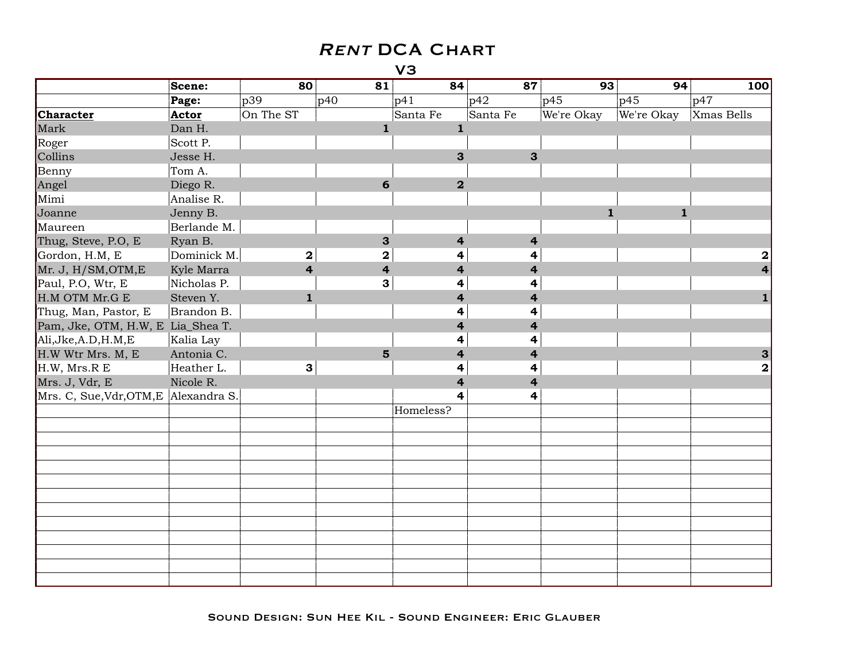|                                       | Scene:      | 80                      | 81                      | 84                      | 87                      | 93           | 94           | 100          |
|---------------------------------------|-------------|-------------------------|-------------------------|-------------------------|-------------------------|--------------|--------------|--------------|
|                                       | Page:       | p39                     | p40                     | p41                     | p42                     | p45          | p45          | p47          |
| <b>Character</b>                      | Actor       | On The ST               |                         | Santa Fe                | Santa Fe                | We're Okay   | We're Okay   | Xmas Bells   |
| Mark                                  | Dan H.      |                         | $\mathbf{1}$            | $\mathbf{1}$            |                         |              |              |              |
| Roger                                 | Scott P.    |                         |                         |                         |                         |              |              |              |
| Collins                               | Jesse H.    |                         |                         | 3                       | 3                       |              |              |              |
| Benny                                 | Tom A.      |                         |                         |                         |                         |              |              |              |
| Angel                                 | Diego R.    |                         | 6                       | $\overline{\mathbf{2}}$ |                         |              |              |              |
| Mimi                                  | Analise R.  |                         |                         |                         |                         |              |              |              |
| Joanne                                | Jenny B.    |                         |                         |                         |                         | $\mathbf{1}$ | $\mathbf{1}$ |              |
| Maureen                               | Berlande M. |                         |                         |                         |                         |              |              |              |
| Thug, Steve, P.O, E                   | Ryan B.     |                         | 3                       | $\overline{\mathbf{r}}$ | $\overline{\mathbf{r}}$ |              |              |              |
| Gordon, H.M, E                        | Dominick M. | $\mathbf{2}$            | $\mathbf 2$             | 4                       | 4                       |              |              | 2            |
| Mr. J, H/SM, OTM, E                   | Kyle Marra  | $\overline{\mathbf{4}}$ | $\overline{\mathbf{4}}$ | 4                       | 4                       |              |              |              |
| Paul, P.O, Wtr, E                     | Nicholas P. |                         | 3                       | 4                       | 4                       |              |              |              |
| H.M OTM Mr.G E                        | Steven Y.   | $\mathbf{1}$            |                         | $\overline{4}$          | $\overline{\mathbf{4}}$ |              |              | 1            |
| Thug, Man, Pastor, E                  | Brandon B.  |                         |                         | 4                       | 4                       |              |              |              |
| Pam, Jke, OTM, H.W, E Lia_Shea T.     |             |                         |                         | $\overline{\mathbf{4}}$ | $\overline{\mathbf{4}}$ |              |              |              |
| Ali, Jke, A.D, H.M, E                 | Kalia Lay   |                         |                         | 4                       | 4                       |              |              |              |
| H.W Wtr Mrs. M, E                     | Antonia C.  |                         | $5\overline{5}$         | $\overline{\mathbf{r}}$ | 4                       |              |              | 3            |
| H.W, Mrs.R E                          | Heather L.  | 3                       |                         | 4                       | 4                       |              |              | $\mathbf{2}$ |
| Mrs. J, Vdr, E                        | Nicole R.   |                         |                         | $\overline{\mathbf{4}}$ | $\overline{\mathbf{4}}$ |              |              |              |
| Mrs. C, Sue, Vdr, OTM, E Alexandra S. |             |                         |                         | 4                       | 4                       |              |              |              |
|                                       |             |                         |                         | Homeless?               |                         |              |              |              |
|                                       |             |                         |                         |                         |                         |              |              |              |
|                                       |             |                         |                         |                         |                         |              |              |              |
|                                       |             |                         |                         |                         |                         |              |              |              |
|                                       |             |                         |                         |                         |                         |              |              |              |
|                                       |             |                         |                         |                         |                         |              |              |              |
|                                       |             |                         |                         |                         |                         |              |              |              |
|                                       |             |                         |                         |                         |                         |              |              |              |
|                                       |             |                         |                         |                         |                         |              |              |              |
|                                       |             |                         |                         |                         |                         |              |              |              |
|                                       |             |                         |                         |                         |                         |              |              |              |
|                                       |             |                         |                         |                         |                         |              |              |              |
|                                       |             |                         |                         |                         |                         |              |              |              |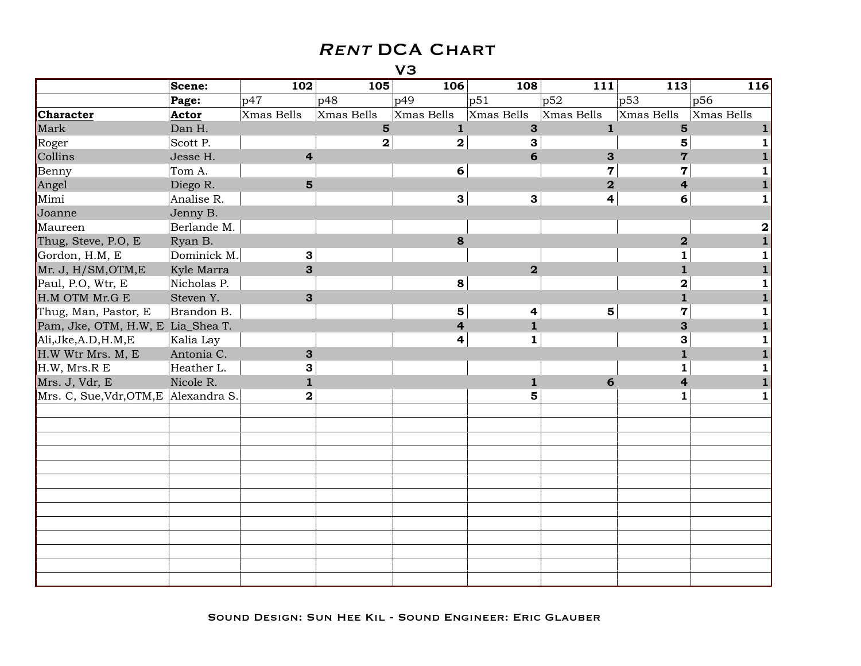|                                       | Scene:      | 102                     | 105            | 106                     | 108                     | 111                     | 113                     | 116        |
|---------------------------------------|-------------|-------------------------|----------------|-------------------------|-------------------------|-------------------------|-------------------------|------------|
|                                       | Page:       | p47                     | p48            | p49                     | p51                     | p52                     | p53                     | p56        |
| <b>Character</b>                      | Actor       | Xmas Bells              | Xmas Bells     | Xmas Bells              | Xmas Bells              | Xmas Bells              | Xmas Bells              | Xmas Bells |
| Mark                                  | Dan H.      |                         | $5\phantom{1}$ | $\mathbf{1}$            | $\mathbf{3}$            | $\mathbf{1}$            | 5                       |            |
| Roger                                 | Scott P.    |                         | $\mathbf{2}$   | $\overline{\mathbf{2}}$ | 3                       |                         | 5                       |            |
| Collins                               | Jesse H.    | $\overline{4}$          |                |                         | 6                       | 3                       | $\overline{7}$          |            |
| Benny                                 | Tom A.      |                         |                | 6                       |                         | $\overline{\mathbf{7}}$ | $\overline{7}$          |            |
| Angel                                 | Diego R.    | $5\phantom{1}$          |                |                         |                         | $\overline{\mathbf{2}}$ | 4                       |            |
| Mimi                                  | Analise R.  |                         |                | $\mathbf{3}$            | $\mathbf{3}$            | 4                       | 6                       |            |
| Joanne                                | Jenny B.    |                         |                |                         |                         |                         |                         |            |
| Maureen                               | Berlande M. |                         |                |                         |                         |                         |                         | 2          |
| Thug, Steve, P.O, E                   | Ryan B.     |                         |                | 8                       |                         |                         | $\overline{\mathbf{2}}$ |            |
| Gordon, H.M, E                        | Dominick M. | 3                       |                |                         |                         |                         | 1                       |            |
| Mr. J, H/SM, OTM, E                   | Kyle Marra  | $\mathbf{3}$            |                |                         | $\overline{2}$          |                         | 1                       |            |
| Paul, P.O, Wtr, E                     | Nicholas P. |                         |                | 8                       |                         |                         | 2                       |            |
| H.M OTM Mr.G E                        | Steven Y.   | 3                       |                |                         |                         |                         | $\mathbf{1}$            |            |
| Thug, Man, Pastor, E                  | Brandon B.  |                         |                | 5                       | $\overline{\mathbf{4}}$ | $5\phantom{1}$          | $\overline{7}$          |            |
| Pam, Jke, OTM, H.W, E Lia_Shea T.     |             |                         |                | 4                       | $\mathbf{1}$            |                         | 3                       |            |
| Ali, Jke, A.D, H.M, E                 | Kalia Lay   |                         |                | 4                       | $\mathbf{1}$            |                         | 3                       |            |
| H.W Wtr Mrs. M, E                     | Antonia C.  | 3                       |                |                         |                         |                         | $\mathbf{1}$            |            |
| H.W, Mrs.R E                          | Heather L.  | 3                       |                |                         |                         |                         | 1                       |            |
| Mrs. J, Vdr, E                        | Nicole R.   | $\mathbf{1}$            |                |                         | $\mathbf 1$             | 6                       | 4                       |            |
| Mrs. C, Sue, Vdr, OTM, E Alexandra S. |             | $\overline{\mathbf{2}}$ |                |                         | 5                       |                         | 1                       |            |
|                                       |             |                         |                |                         |                         |                         |                         |            |
|                                       |             |                         |                |                         |                         |                         |                         |            |
|                                       |             |                         |                |                         |                         |                         |                         |            |
|                                       |             |                         |                |                         |                         |                         |                         |            |
|                                       |             |                         |                |                         |                         |                         |                         |            |
|                                       |             |                         |                |                         |                         |                         |                         |            |
|                                       |             |                         |                |                         |                         |                         |                         |            |
|                                       |             |                         |                |                         |                         |                         |                         |            |
|                                       |             |                         |                |                         |                         |                         |                         |            |
|                                       |             |                         |                |                         |                         |                         |                         |            |
|                                       |             |                         |                |                         |                         |                         |                         |            |
|                                       |             |                         |                |                         |                         |                         |                         |            |
|                                       |             |                         |                |                         |                         |                         |                         |            |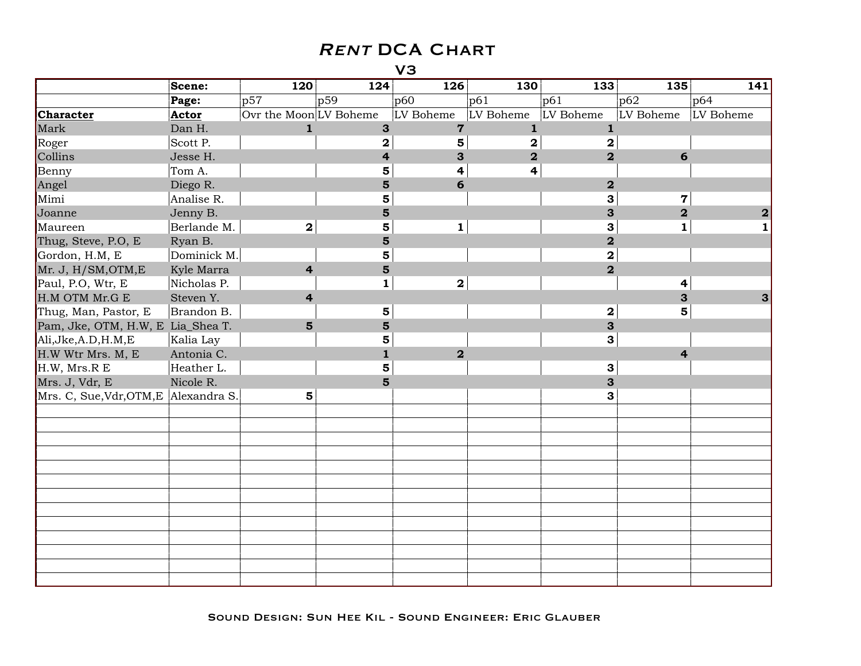|                                       | Scene:      | 120                     | 124                     | 126            | 130                     | 133                     | 135                     | 141          |
|---------------------------------------|-------------|-------------------------|-------------------------|----------------|-------------------------|-------------------------|-------------------------|--------------|
|                                       | Page:       | p57                     | p59                     | p60            | p61                     | p61                     | p62                     | p64          |
| <b>Character</b>                      | Actor       | Ovr the Moon LV Boheme  |                         | LV Boheme      | LV Boheme               | LV Boheme               | LV Boheme               | LV Boheme    |
| Mark                                  | Dan H.      | $\mathbf{1}$            | $\mathbf{3}$            | $\overline{7}$ | $\mathbf{1}$            | $\mathbf{1}$            |                         |              |
| Roger                                 | Scott P.    |                         | $\mathbf 2$             | 5              | 2                       | $\mathbf 2$             |                         |              |
| Collins                               | Jesse H.    |                         | $\overline{\mathbf{r}}$ | 3              | $\overline{\mathbf{2}}$ | $\overline{\mathbf{2}}$ | 6                       |              |
| Benny                                 | Tom A.      |                         | $\overline{\mathbf{5}}$ | 4              | 4                       |                         |                         |              |
| Angel                                 | Diego R.    |                         | $5\phantom{1}$          | 6              |                         | $\mathbf 2$             |                         |              |
| Mimi                                  | Analise R.  |                         | 5                       |                |                         | 3                       | $\overline{7}$          |              |
| Joanne                                | Jenny B.    |                         | 5                       |                |                         | 3                       | $\overline{\mathbf{2}}$ | $\mathbf{2}$ |
| Maureen                               | Berlande M. | $\mathbf{2}$            | 5                       | $\mathbf{1}$   |                         | 3                       | $\mathbf{1}$            |              |
| Thug, Steve, P.O, E                   | Ryan B.     |                         | $\overline{5}$          |                |                         | $\overline{\mathbf{2}}$ |                         |              |
| Gordon, H.M, E                        | Dominick M. |                         | 5                       |                |                         | $\overline{\mathbf{2}}$ |                         |              |
| Mr. J, H/SM, OTM, E                   | Kyle Marra  | $\overline{\mathbf{4}}$ | 5                       |                |                         | $\overline{\mathbf{2}}$ |                         |              |
| Paul, P.O, Wtr, E                     | Nicholas P. |                         | 1                       | $\mathbf{2}$   |                         |                         | 4                       |              |
| H.M OTM Mr.G E                        | Steven Y.   | $\overline{\mathbf{4}}$ |                         |                |                         |                         | 3                       | 3            |
| Thug, Man, Pastor, E                  | Brandon B.  |                         | $\overline{\mathbf{5}}$ |                |                         | $\bf{2}$                | 5                       |              |
| Pam, Jke, OTM, H.W, E Lia_Shea T.     |             | $5\phantom{1}$          | 5                       |                |                         | 3                       |                         |              |
| Ali, Jke, A.D, H.M, E                 | Kalia Lay   |                         | 5                       |                |                         | 3                       |                         |              |
| H.W Wtr Mrs. M, E                     | Antonia C.  |                         | $\mathbf{1}$            | $\overline{2}$ |                         |                         | 4                       |              |
| H.W, Mrs.R E                          | Heather L.  |                         | $\overline{\mathbf{5}}$ |                |                         | 3                       |                         |              |
| Mrs. J, Vdr, E                        | Nicole R.   |                         | 5                       |                |                         | 3                       |                         |              |
| Mrs. C, Sue, Vdr, OTM, E Alexandra S. |             | 5                       |                         |                |                         | 3                       |                         |              |
|                                       |             |                         |                         |                |                         |                         |                         |              |
|                                       |             |                         |                         |                |                         |                         |                         |              |
|                                       |             |                         |                         |                |                         |                         |                         |              |
|                                       |             |                         |                         |                |                         |                         |                         |              |
|                                       |             |                         |                         |                |                         |                         |                         |              |
|                                       |             |                         |                         |                |                         |                         |                         |              |
|                                       |             |                         |                         |                |                         |                         |                         |              |
|                                       |             |                         |                         |                |                         |                         |                         |              |
|                                       |             |                         |                         |                |                         |                         |                         |              |
|                                       |             |                         |                         |                |                         |                         |                         |              |
|                                       |             |                         |                         |                |                         |                         |                         |              |
|                                       |             |                         |                         |                |                         |                         |                         |              |
|                                       |             |                         |                         |                |                         |                         |                         |              |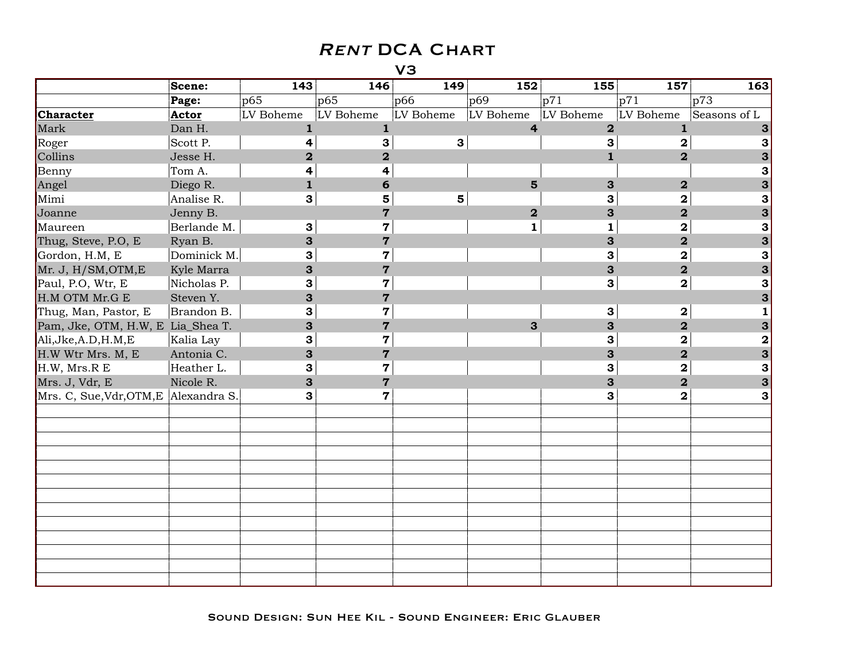|                                       | Scene:      | 143                     | 146                     | 149                     | 152                     | 155                     | 157                     | 163          |
|---------------------------------------|-------------|-------------------------|-------------------------|-------------------------|-------------------------|-------------------------|-------------------------|--------------|
|                                       | Page:       | p65                     | p65                     | p66                     | p69                     | p71                     | p71                     | p73          |
| <b>Character</b>                      | Actor       | LV Boheme               | LV Boheme               | LV Boheme               | LV Boheme               | LV Boheme               | LV Boheme               | Seasons of L |
| Mark                                  | Dan H.      | $\mathbf{1}$            | $\mathbf{1}$            |                         | $\overline{\mathbf{4}}$ | $\overline{\mathbf{2}}$ | $\mathbf 1$             |              |
| Roger                                 | Scott P.    | 4                       | 3                       | $\mathbf{3}$            |                         | 3                       | $\mathbf 2$             | 3            |
| Collins                               | Jesse H.    | $\overline{\mathbf{2}}$ | $\overline{\mathbf{2}}$ |                         |                         | $\mathbf{1}$            | $\overline{2}$          |              |
| Benny                                 | Tom A.      | 4                       | 4                       |                         |                         |                         |                         | 3            |
| Angel                                 | Diego R.    | $\mathbf{1}$            | 6                       |                         | $\overline{\mathbf{5}}$ | 3                       | $\overline{2}$          | 3            |
| Mimi                                  | Analise R.  | 3                       | 5                       | $\overline{\mathbf{5}}$ |                         | 3                       | $\overline{\mathbf{2}}$ | 3            |
| Joanne                                | Jenny B.    |                         | $\overline{7}$          |                         | $\mathbf 2$             | 3                       | $\overline{\mathbf{2}}$ | 3            |
| Maureen                               | Berlande M. | $\mathbf{3}$            | $\overline{7}$          |                         | $\mathbf{1}$            | 1                       | $\mathbf 2$             | 3            |
| Thug, Steve, P.O. E                   | Ryan B.     | 3                       | $\overline{7}$          |                         |                         | 3                       | $\overline{\mathbf{2}}$ | 3            |
| Gordon, H.M, E                        | Dominick M. | 3                       | $\overline{\mathbf{7}}$ |                         |                         | 3                       | $\bf{2}$                | 3            |
| Mr. J, H/SM, OTM, E                   | Kyle Marra  | 3                       | $\overline{7}$          |                         |                         | 3                       | $\overline{\mathbf{2}}$ | 3            |
| Paul, P.O, Wtr, E                     | Nicholas P. | 3                       | $\overline{7}$          |                         |                         | 3                       | $\mathbf 2$             | 3            |
| H.M OTM Mr.G E                        | Steven Y.   | 3                       | $\overline{7}$          |                         |                         |                         |                         | 3            |
| Thug, Man, Pastor, E                  | Brandon B.  | 3                       | $\overline{7}$          |                         |                         | 3                       | $\mathbf{2}$            | $\mathbf{1}$ |
| Pam, Jke, OTM, H.W, E Lia_Shea T.     |             | 3                       | $\overline{7}$          |                         | 3                       | 3                       | $\overline{\mathbf{2}}$ | 3            |
| Ali, Jke, A.D, H.M, E                 | Kalia Lay   | 3                       | $\overline{7}$          |                         |                         | 3                       | $\mathbf 2$             | $\mathbf 2$  |
| H.W Wtr Mrs. M, E                     | Antonia C.  | 3                       | $\mathbf 7$             |                         |                         | 3                       | $\overline{\mathbf{2}}$ | 3            |
| H.W, Mrs.R E                          | Heather L.  | 3                       | $\overline{7}$          |                         |                         | 3                       | $\mathbf 2$             | 3            |
| Mrs. J, Vdr, E                        | Nicole R.   | 3                       | $\overline{7}$          |                         |                         | 3                       | $\overline{\mathbf{2}}$ | 3            |
| Mrs. C, Sue, Vdr, OTM, E Alexandra S. |             | 3                       | $\overline{7}$          |                         |                         | 3                       | $\mathbf 2$             | 3            |
|                                       |             |                         |                         |                         |                         |                         |                         |              |
|                                       |             |                         |                         |                         |                         |                         |                         |              |
|                                       |             |                         |                         |                         |                         |                         |                         |              |
|                                       |             |                         |                         |                         |                         |                         |                         |              |
|                                       |             |                         |                         |                         |                         |                         |                         |              |
|                                       |             |                         |                         |                         |                         |                         |                         |              |
|                                       |             |                         |                         |                         |                         |                         |                         |              |
|                                       |             |                         |                         |                         |                         |                         |                         |              |
|                                       |             |                         |                         |                         |                         |                         |                         |              |
|                                       |             |                         |                         |                         |                         |                         |                         |              |
|                                       |             |                         |                         |                         |                         |                         |                         |              |
|                                       |             |                         |                         |                         |                         |                         |                         |              |
|                                       |             |                         |                         |                         |                         |                         |                         |              |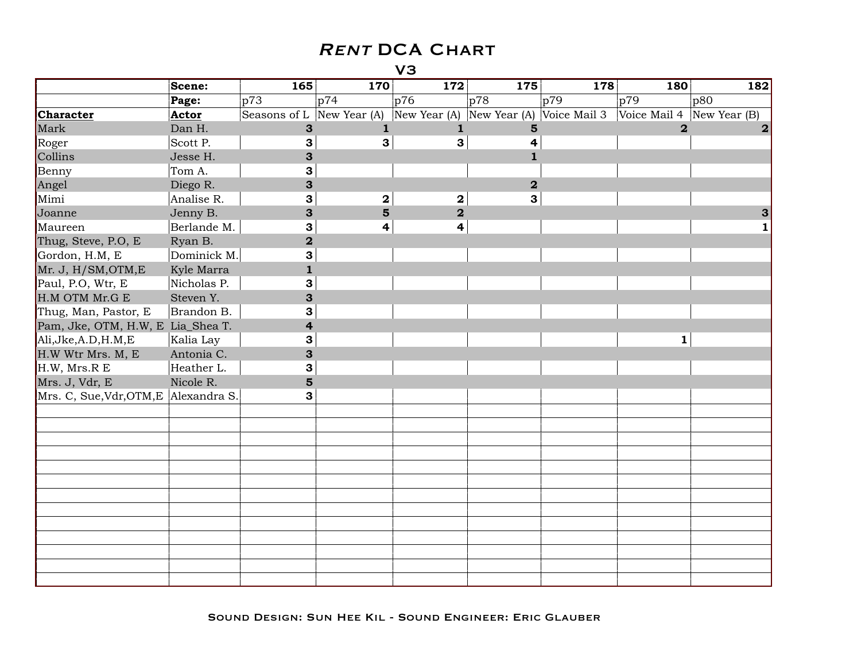|                                       | Scene:      | 165                       | 170             | 172                     | 175                       | 178 | 180            | 182          |
|---------------------------------------|-------------|---------------------------|-----------------|-------------------------|---------------------------|-----|----------------|--------------|
|                                       | Page:       | p73                       | p74             | p76                     | p78                       | p79 | p79            | p80          |
| <b>Character</b>                      | Actor       | Seasons of L New Year (A) |                 | New Year (A)            | New Year (A) Voice Mail 3 |     | Voice Mail 4   | New Year (B) |
| Mark                                  | Dan H.      | $\mathbf{3}$              | 1               | $\mathbf{1}$            | 5                         |     | $\overline{2}$ | $\mathbf{2}$ |
| Roger                                 | Scott P.    | 3                         | 3               | 3                       | 4                         |     |                |              |
| Collins                               | Jesse H.    | 3                         |                 |                         | $\mathbf{1}$              |     |                |              |
| Benny                                 | Tom A.      | 3                         |                 |                         |                           |     |                |              |
| Angel                                 | Diego R.    | 3                         |                 |                         | $\overline{\mathbf{2}}$   |     |                |              |
| Mimi                                  | Analise R.  | 3                         | $\mathbf{2}$    | $\bf{2}$                | 3                         |     |                |              |
| Joanne                                | Jenny B.    | 3                         | $5\overline{)}$ | $\overline{\mathbf{2}}$ |                           |     |                |              |
| Maureen                               | Berlande M. | 3                         | 4               | $\overline{\mathbf{4}}$ |                           |     |                |              |
| Thug, Steve, P.O, E                   | Ryan B.     | $\overline{\mathbf{2}}$   |                 |                         |                           |     |                |              |
| Gordon, H.M, E                        | Dominick M. | 3                         |                 |                         |                           |     |                |              |
| Mr. J, H/SM, OTM, E                   | Kyle Marra  | $\mathbf{1}$              |                 |                         |                           |     |                |              |
| Paul, P.O, Wtr, E                     | Nicholas P. | 3                         |                 |                         |                           |     |                |              |
| H.M OTM Mr.G E                        | Steven Y.   | 3                         |                 |                         |                           |     |                |              |
| Thug, Man, Pastor, E                  | Brandon B.  | 3                         |                 |                         |                           |     |                |              |
| Pam, Jke, OTM, H.W, E Lia_Shea T.     |             | 4                         |                 |                         |                           |     |                |              |
| Ali, Jke, A.D, H.M, E                 | Kalia Lay   | 3                         |                 |                         |                           |     | $\mathbf{1}$   |              |
| H.W Wtr Mrs. M, E                     | Antonia C.  | 3                         |                 |                         |                           |     |                |              |
| H.W, Mrs.R E                          | Heather L.  | 3                         |                 |                         |                           |     |                |              |
| Mrs. J, Vdr, E                        | Nicole R.   | $5\phantom{1}$            |                 |                         |                           |     |                |              |
| Mrs. C, Sue, Vdr, OTM, E Alexandra S. |             | 3                         |                 |                         |                           |     |                |              |
|                                       |             |                           |                 |                         |                           |     |                |              |
|                                       |             |                           |                 |                         |                           |     |                |              |
|                                       |             |                           |                 |                         |                           |     |                |              |
|                                       |             |                           |                 |                         |                           |     |                |              |
|                                       |             |                           |                 |                         |                           |     |                |              |
|                                       |             |                           |                 |                         |                           |     |                |              |
|                                       |             |                           |                 |                         |                           |     |                |              |
|                                       |             |                           |                 |                         |                           |     |                |              |
|                                       |             |                           |                 |                         |                           |     |                |              |
|                                       |             |                           |                 |                         |                           |     |                |              |
|                                       |             |                           |                 |                         |                           |     |                |              |
|                                       |             |                           |                 |                         |                           |     |                |              |
|                                       |             |                           |                 |                         |                           |     |                |              |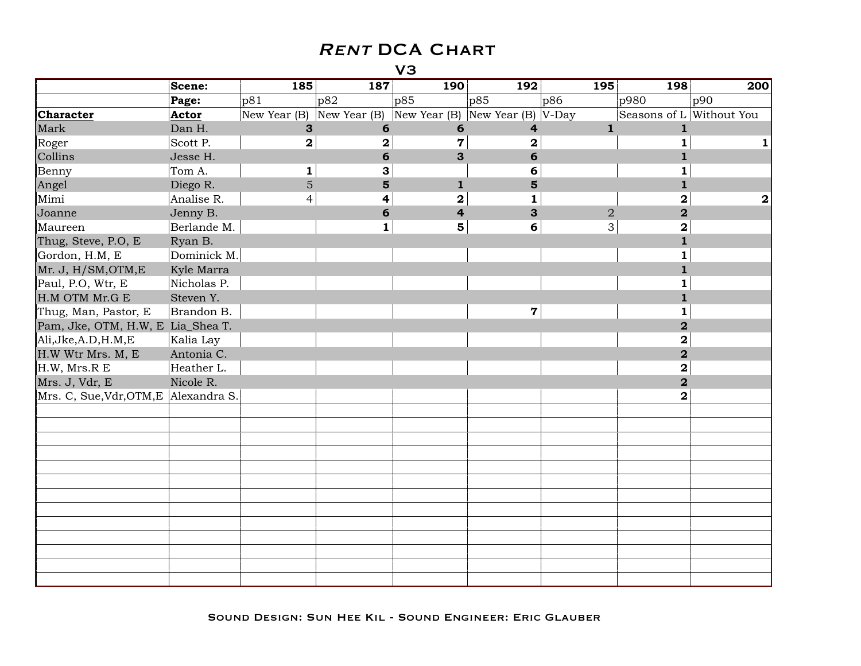|                                   | Scene:       | 185                           | 187            | 190            | 192                     | 195            | 198                      | 200 |
|-----------------------------------|--------------|-------------------------------|----------------|----------------|-------------------------|----------------|--------------------------|-----|
|                                   | Page:        | p81                           | p82            | p85            | p85                     | p86            | p980                     | p90 |
| <b>Character</b>                  | Actor        | New Year $(B)$ New Year $(B)$ |                | New Year (B)   | New Year (B) $ V-Day $  |                | Seasons of L Without You |     |
| Mark                              | Dan H.       | 3                             | 6              | 6              | $\overline{\mathbf{r}}$ | $\mathbf{1}$   | $\mathbf{1}$             |     |
| Roger                             | Scott P.     | $\mathbf 2$                   | $\mathbf 2$    | $\overline{7}$ | $\mathbf 2$             |                | $\mathbf{1}$             |     |
| Collins                           | Jesse H.     |                               | 6              | 3              | 6                       |                | $\mathbf{1}$             |     |
| Benny                             | Tom A.       | 1                             | 3              |                | 6                       |                | 1                        |     |
| Angel                             | Diego R.     | 5                             | $5\phantom{1}$ | $\mathbf{1}$   | $5\phantom{1}$          |                | $\mathbf{1}$             |     |
| Mimi                              | Analise R.   | 4                             | 4              | $\mathbf 2$    | $\mathbf{1}$            |                | $\mathbf 2$              | 2   |
| Joanne                            | Jenny B.     |                               | 6              | 4              | 3                       | $\overline{2}$ | $\overline{\mathbf{2}}$  |     |
| Maureen                           | Berlande M.  |                               | 1              | 5              | 6                       | 3              | $\mathbf 2$              |     |
| Thug, Steve, P.O, E               | Ryan B.      |                               |                |                |                         |                | $\mathbf{1}$             |     |
| Gordon, H.M, E                    | Dominick M.  |                               |                |                |                         |                | $\mathbf{1}$             |     |
| Mr. J, H/SM, OTM, E               | Kyle Marra   |                               |                |                |                         |                | $\mathbf{1}$             |     |
| Paul, P.O, Wtr, E                 | Nicholas P.  |                               |                |                |                         |                | $\mathbf{1}$             |     |
| H.M OTM Mr.G E                    | Steven Y.    |                               |                |                |                         |                | $\mathbf{1}$             |     |
| Thug, Man, Pastor, E              | Brandon B.   |                               |                |                | $\mathbf 7$             |                | $\mathbf{1}$             |     |
| Pam, Jke, OTM, H.W, E Lia_Shea T. |              |                               |                |                |                         |                | $\overline{\mathbf{2}}$  |     |
| Ali, Jke, A.D, H.M, E             | Kalia Lay    |                               |                |                |                         |                | $\mathbf 2$              |     |
| H.W Wtr Mrs. M, E                 | Antonia C.   |                               |                |                |                         |                | $\overline{\mathbf{2}}$  |     |
| H.W, Mrs.R E                      | Heather L.   |                               |                |                |                         |                | $\overline{\mathbf{2}}$  |     |
| Mrs. J, Vdr, E                    | Nicole R.    |                               |                |                |                         |                | $\overline{2}$           |     |
| Mrs. C, Sue, Vdr, OTM, E          | Alexandra S. |                               |                |                |                         |                | 2                        |     |
|                                   |              |                               |                |                |                         |                |                          |     |
|                                   |              |                               |                |                |                         |                |                          |     |
|                                   |              |                               |                |                |                         |                |                          |     |
|                                   |              |                               |                |                |                         |                |                          |     |
|                                   |              |                               |                |                |                         |                |                          |     |
|                                   |              |                               |                |                |                         |                |                          |     |
|                                   |              |                               |                |                |                         |                |                          |     |
|                                   |              |                               |                |                |                         |                |                          |     |
|                                   |              |                               |                |                |                         |                |                          |     |
|                                   |              |                               |                |                |                         |                |                          |     |
|                                   |              |                               |                |                |                         |                |                          |     |
|                                   |              |                               |                |                |                         |                |                          |     |
|                                   |              |                               |                |                |                         |                |                          |     |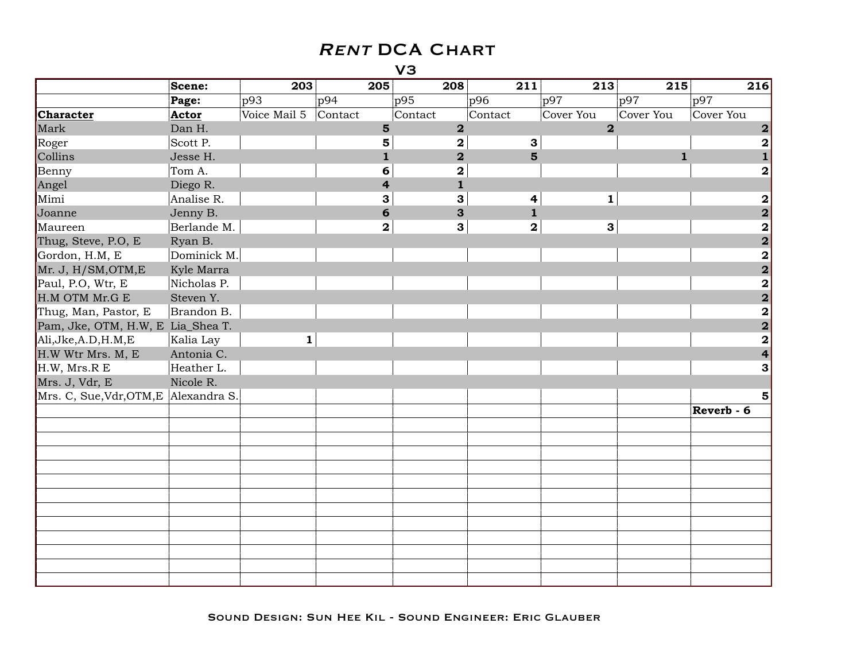|                                       | Scene:      | 203          |         | 205                     | 208                     | 211                     | 213                     | 215          | 216                     |
|---------------------------------------|-------------|--------------|---------|-------------------------|-------------------------|-------------------------|-------------------------|--------------|-------------------------|
|                                       | Page:       | p93          | pq4     |                         | p95                     | p96                     | p97                     | p97          | p97                     |
| Character                             | Actor       | Voice Mail 5 | Contact |                         | Contact                 | Contact                 | Cover You               | Cover You    | Cover You               |
| Mark                                  | Dan H.      |              |         | $\overline{\mathbf{5}}$ | $\mathbf 2$             |                         | $\overline{\mathbf{2}}$ |              | $\mathbf{2}$            |
| Roger                                 | Scott P.    |              |         | 5                       | $\mathbf{2}$            | 3                       |                         |              | $\mathbf 2$             |
| Collins                               | Jesse H.    |              |         | $\mathbf{1}$            | $\overline{\mathbf{2}}$ | 5                       |                         | $\mathbf{1}$ |                         |
| Benny                                 | Tom A.      |              |         | 6                       | $\mathbf 2$             |                         |                         |              | $\mathbf 2$             |
| Angel                                 | Diego R.    |              |         | $\overline{\mathbf{4}}$ | $\mathbf{1}$            |                         |                         |              |                         |
| Mimi                                  | Analise R.  |              |         | 3                       | 3                       | 4                       | $\mathbf{1}$            |              | 2                       |
| Joanne                                | Jenny B.    |              |         | 6                       | 3                       | $\mathbf{1}$            |                         |              | $\overline{\mathbf{2}}$ |
| Maureen                               | Berlande M. |              |         | $\mathbf 2$             | $\mathbf{3}$            | $\overline{\mathbf{2}}$ | $\mathbf{3}$            |              | $\overline{\mathbf{2}}$ |
| Thug, Steve, P.O, E                   | Ryan B.     |              |         |                         |                         |                         |                         |              | $\overline{2}$          |
| Gordon, H.M, E                        | Dominick M. |              |         |                         |                         |                         |                         |              | $\overline{\mathbf{2}}$ |
| Mr. J, H/SM, OTM, E                   | Kyle Marra  |              |         |                         |                         |                         |                         |              | $\overline{\mathbf{2}}$ |
| Paul, P.O, Wtr, E                     | Nicholas P. |              |         |                         |                         |                         |                         |              | $\overline{\mathbf{2}}$ |
| H.M OTM Mr.G E                        | Steven Y.   |              |         |                         |                         |                         |                         |              | $\overline{\mathbf{2}}$ |
| Thug, Man, Pastor, E                  | Brandon B.  |              |         |                         |                         |                         |                         |              | $\overline{\mathbf{2}}$ |
| Pam, Jke, OTM, H.W, E Lia_Shea T.     |             |              |         |                         |                         |                         |                         |              | $\overline{\mathbf{2}}$ |
| Ali, Jke, A.D, H.M, E                 | Kalia Lay   | $\mathbf{1}$ |         |                         |                         |                         |                         |              | $\overline{\mathbf{2}}$ |
| H.W Wtr Mrs. M, E                     | Antonia C.  |              |         |                         |                         |                         |                         |              | $\overline{\mathbf{4}}$ |
| H.W, Mrs.R E                          | Heather L.  |              |         |                         |                         |                         |                         |              | 3                       |
| Mrs. J, Vdr, E                        | Nicole R.   |              |         |                         |                         |                         |                         |              |                         |
| Mrs. C, Sue, Vdr, OTM, E Alexandra S. |             |              |         |                         |                         |                         |                         |              | 5                       |
|                                       |             |              |         |                         |                         |                         |                         |              | Reverb - 6              |
|                                       |             |              |         |                         |                         |                         |                         |              |                         |
|                                       |             |              |         |                         |                         |                         |                         |              |                         |
|                                       |             |              |         |                         |                         |                         |                         |              |                         |
|                                       |             |              |         |                         |                         |                         |                         |              |                         |
|                                       |             |              |         |                         |                         |                         |                         |              |                         |
|                                       |             |              |         |                         |                         |                         |                         |              |                         |
|                                       |             |              |         |                         |                         |                         |                         |              |                         |
|                                       |             |              |         |                         |                         |                         |                         |              |                         |
|                                       |             |              |         |                         |                         |                         |                         |              |                         |
|                                       |             |              |         |                         |                         |                         |                         |              |                         |
|                                       |             |              |         |                         |                         |                         |                         |              |                         |
|                                       |             |              |         |                         |                         |                         |                         |              |                         |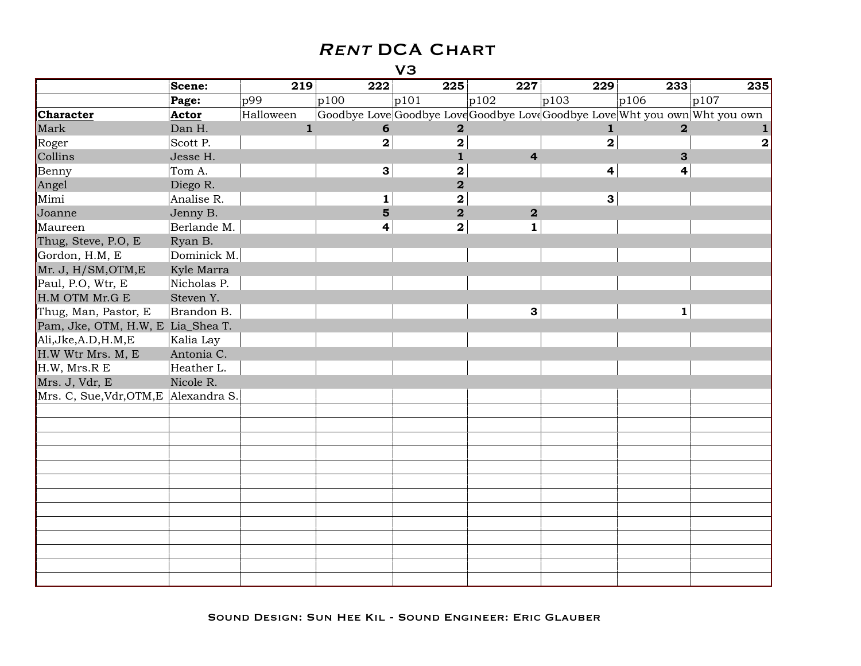|                                       | Scene:      | 219          | 222                     | 225                     | 227                     | 229                                                                         | 233            | 235          |
|---------------------------------------|-------------|--------------|-------------------------|-------------------------|-------------------------|-----------------------------------------------------------------------------|----------------|--------------|
|                                       | Page:       | p99          | p100                    | p101                    | p102                    | p103                                                                        | p106           | p107         |
| <b>Character</b>                      | Actor       | Halloween    |                         |                         |                         | Goodbye Love Goodbye Love Goodbye Love Goodbye Love Wht you own Wht you own |                |              |
| Mark                                  | Dan H.      | $\mathbf{1}$ | 6                       | $\overline{\mathbf{2}}$ |                         | $\mathbf{1}$                                                                | $\overline{2}$ |              |
| Roger                                 | Scott P.    |              | $\overline{\mathbf{2}}$ | 2                       |                         | $\overline{\mathbf{2}}$                                                     |                | $\mathbf{2}$ |
| Collins                               | Jesse H.    |              |                         | $\mathbf{1}$            | $\overline{\mathbf{4}}$ |                                                                             | 3              |              |
| Benny                                 | Tom A.      |              | $\mathbf{3}$            | 2                       |                         | 4                                                                           | 4              |              |
| Angel                                 | Diego R.    |              |                         | $\overline{\mathbf{2}}$ |                         |                                                                             |                |              |
| Mimi                                  | Analise R.  |              | $\mathbf{1}$            | $\mathbf 2$             |                         | $\mathbf{3}$                                                                |                |              |
| Joanne                                | Jenny B.    |              | $5\phantom{1}$          | $\overline{\mathbf{2}}$ | $\overline{\mathbf{2}}$ |                                                                             |                |              |
| Maureen                               | Berlande M. |              | 4                       | $\mathbf{2}$            | $\mathbf{1}$            |                                                                             |                |              |
| Thug, Steve, P.O, E                   | Ryan B.     |              |                         |                         |                         |                                                                             |                |              |
| Gordon, H.M, E                        | Dominick M. |              |                         |                         |                         |                                                                             |                |              |
| Mr. J, H/SM, OTM, E                   | Kyle Marra  |              |                         |                         |                         |                                                                             |                |              |
| Paul, P.O, Wtr, E                     | Nicholas P. |              |                         |                         |                         |                                                                             |                |              |
| H.M OTM Mr.G E                        | Steven Y.   |              |                         |                         |                         |                                                                             |                |              |
| Thug, Man, Pastor, E                  | Brandon B.  |              |                         |                         | 3                       |                                                                             | $\mathbf{1}$   |              |
| Pam, Jke, OTM, H.W, E Lia_Shea T.     |             |              |                         |                         |                         |                                                                             |                |              |
| Ali, Jke, A.D, H.M, E                 | Kalia Lay   |              |                         |                         |                         |                                                                             |                |              |
| H.W Wtr Mrs. M, E                     | Antonia C.  |              |                         |                         |                         |                                                                             |                |              |
| H.W, Mrs.R E                          | Heather L.  |              |                         |                         |                         |                                                                             |                |              |
| Mrs. J, Vdr, E                        | Nicole R.   |              |                         |                         |                         |                                                                             |                |              |
| Mrs. C, Sue, Vdr, OTM, E Alexandra S. |             |              |                         |                         |                         |                                                                             |                |              |
|                                       |             |              |                         |                         |                         |                                                                             |                |              |
|                                       |             |              |                         |                         |                         |                                                                             |                |              |
|                                       |             |              |                         |                         |                         |                                                                             |                |              |
|                                       |             |              |                         |                         |                         |                                                                             |                |              |
|                                       |             |              |                         |                         |                         |                                                                             |                |              |
|                                       |             |              |                         |                         |                         |                                                                             |                |              |
|                                       |             |              |                         |                         |                         |                                                                             |                |              |
|                                       |             |              |                         |                         |                         |                                                                             |                |              |
|                                       |             |              |                         |                         |                         |                                                                             |                |              |
|                                       |             |              |                         |                         |                         |                                                                             |                |              |
|                                       |             |              |                         |                         |                         |                                                                             |                |              |
|                                       |             |              |                         |                         |                         |                                                                             |                |              |
|                                       |             |              |                         |                         |                         |                                                                             |                |              |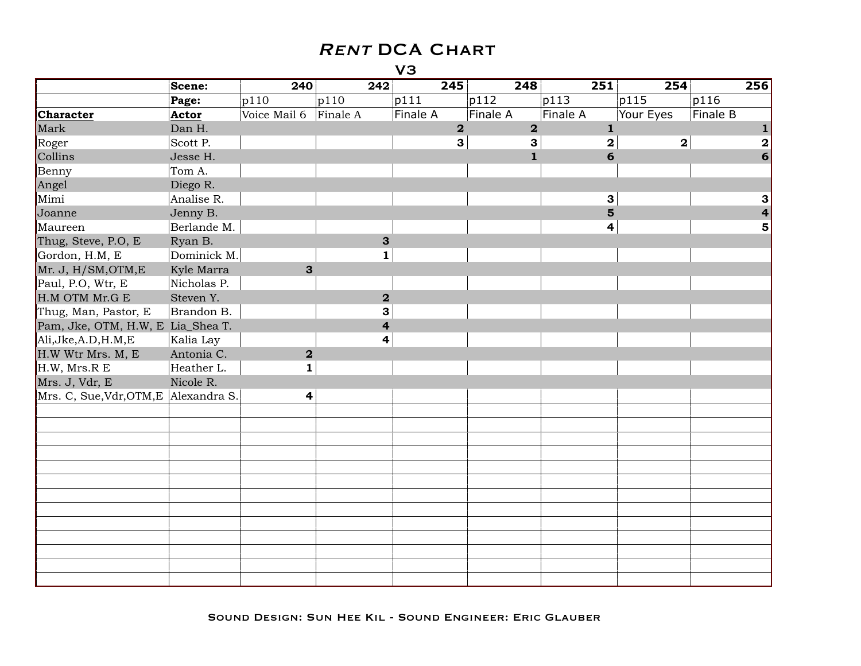|                                       | Scene:      | 240                     | 242                     | 245                     | $\overline{248}$        | 251                     | 254         | 256              |
|---------------------------------------|-------------|-------------------------|-------------------------|-------------------------|-------------------------|-------------------------|-------------|------------------|
|                                       | Page:       | p110                    | p110                    | p111                    | p112                    | p113                    | p115        | p116             |
| <b>Character</b>                      | Actor       | Voice Mail 6            | Finale A                | <b>Finale A</b>         | <b>Finale A</b>         | <b>Finale A</b>         | Your Eyes   | Finale B         |
| Mark                                  | Dan H.      |                         |                         | $\overline{\mathbf{2}}$ | $\overline{\mathbf{2}}$ | $\mathbf{1}$            |             |                  |
| Roger                                 | Scott P.    |                         |                         | $\mathbf{3}$            | 3                       | $\overline{\mathbf{2}}$ | $\mathbf 2$ | $\boldsymbol{2}$ |
| Collins                               | Jesse H.    |                         |                         |                         | $\mathbf{1}$            | 6                       |             | 6                |
| Benny                                 | Tom A.      |                         |                         |                         |                         |                         |             |                  |
| Angel                                 | Diego R.    |                         |                         |                         |                         |                         |             |                  |
| Mimi                                  | Analise R.  |                         |                         |                         |                         | $\mathbf{3}$            |             | 3                |
| Joanne                                | Jenny B.    |                         |                         |                         |                         | 5                       |             | 4                |
| Maureen                               | Berlande M. |                         |                         |                         |                         | 4                       |             | 5                |
| Thug, Steve, P.O, E                   | Ryan B.     |                         | $\mathbf{3}$            |                         |                         |                         |             |                  |
| Gordon, H.M, E                        | Dominick M. |                         | 1                       |                         |                         |                         |             |                  |
| Mr. J, H/SM, OTM, E                   | Kyle Marra  | $\mathbf{3}$            |                         |                         |                         |                         |             |                  |
| Paul, P.O, Wtr, E                     | Nicholas P. |                         |                         |                         |                         |                         |             |                  |
| H.M OTM Mr.G E                        | Steven Y.   |                         | $\overline{\mathbf{2}}$ |                         |                         |                         |             |                  |
| Thug, Man, Pastor, E                  | Brandon B.  |                         | 3                       |                         |                         |                         |             |                  |
| Pam, Jke, OTM, H.W, E Lia_Shea T.     |             |                         | $\overline{\mathbf{4}}$ |                         |                         |                         |             |                  |
| Ali, Jke, A.D, H.M, E                 | Kalia Lay   |                         | 4                       |                         |                         |                         |             |                  |
| H.W Wtr Mrs. M, E                     | Antonia C.  | $\overline{\mathbf{2}}$ |                         |                         |                         |                         |             |                  |
| H.W, Mrs.R E                          | Heather L.  | $\mathbf{1}$            |                         |                         |                         |                         |             |                  |
| Mrs. J, Vdr, E                        | Nicole R.   |                         |                         |                         |                         |                         |             |                  |
| Mrs. C, Sue, Vdr, OTM, E Alexandra S. |             | 4                       |                         |                         |                         |                         |             |                  |
|                                       |             |                         |                         |                         |                         |                         |             |                  |
|                                       |             |                         |                         |                         |                         |                         |             |                  |
|                                       |             |                         |                         |                         |                         |                         |             |                  |
|                                       |             |                         |                         |                         |                         |                         |             |                  |
|                                       |             |                         |                         |                         |                         |                         |             |                  |
|                                       |             |                         |                         |                         |                         |                         |             |                  |
|                                       |             |                         |                         |                         |                         |                         |             |                  |
|                                       |             |                         |                         |                         |                         |                         |             |                  |
|                                       |             |                         |                         |                         |                         |                         |             |                  |
|                                       |             |                         |                         |                         |                         |                         |             |                  |
|                                       |             |                         |                         |                         |                         |                         |             |                  |
|                                       |             |                         |                         |                         |                         |                         |             |                  |
|                                       |             |                         |                         |                         |                         |                         |             |                  |